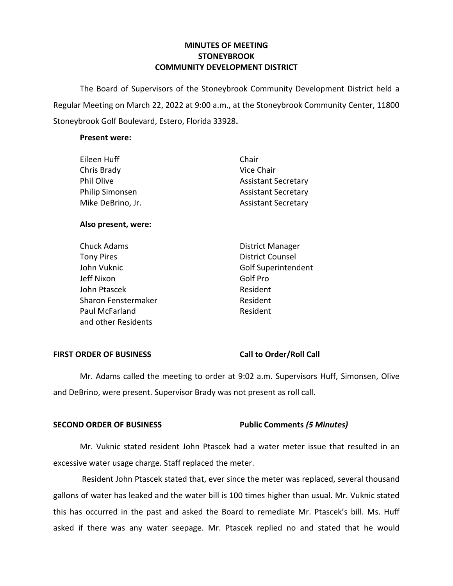## **MINUTES OF MEETING STONEYBROOK COMMUNITY DEVELOPMENT DISTRICT**

 The Board of Supervisors of the Stoneybrook Community Development District held a Regular Meeting on March 22, 2022 at 9:00 a.m., at the Stoneybrook Community Center, 11800 Stoneybrook Golf Boulevard, Estero, Florida 33928**.** 

### **Present were:**

| Eileen Huff            | Chair                      |
|------------------------|----------------------------|
| Chris Brady            | Vice Chair                 |
| Phil Olive             | <b>Assistant Secretary</b> |
| <b>Philip Simonsen</b> | <b>Assistant Secretary</b> |
| Mike DeBrino, Jr.      | <b>Assistant Secretary</b> |
|                        |                            |

### **Also present, were:**

John Vuknic Chuck Adams **District Manager** Tony Pires **District Counsel** Jeff Nixon Golf Pro John Ptascek **Resident** Sharon Fenstermaker **Resident** Paul McFarland Resident and other Residents

Golf Superintendent

## FIRST ORDER OF BUSINESS Call to Order/Roll Call

Mr. Adams called the meeting to order at 9:02 a.m. Supervisors Huff, Simonsen, Olive and DeBrino, were present. Supervisor Brady was not present as roll call.

## **SECOND ORDER OF BUSINESS Public Comments** *(5 Minutes)*

Mr. Vuknic stated resident John Ptascek had a water meter issue that resulted in an excessive water usage charge. Staff replaced the meter.

Resident John Ptascek stated that, ever since the meter was replaced, several thousand gallons of water has leaked and the water bill is 100 times higher than usual. Mr. Vuknic stated this has occurred in the past and asked the Board to remediate Mr. Ptascek's bill. Ms. Huff asked if there was any water seepage. Mr. Ptascek replied no and stated that he would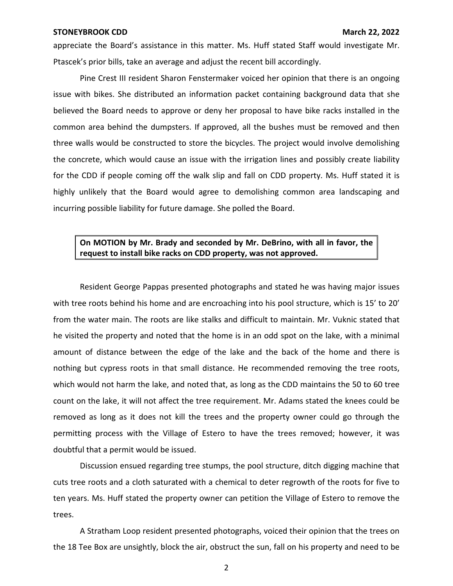appreciate the Board's assistance in this matter. Ms. Huff stated Staff would investigate Mr. Ptascek's prior bills, take an average and adjust the recent bill accordingly.

Pine Crest III resident Sharon Fenstermaker voiced her opinion that there is an ongoing issue with bikes. She distributed an information packet containing background data that she believed the Board needs to approve or deny her proposal to have bike racks installed in the common area behind the dumpsters. If approved, all the bushes must be removed and then three walls would be constructed to store the bicycles. The project would involve demolishing the concrete, which would cause an issue with the irrigation lines and possibly create liability for the CDD if people coming off the walk slip and fall on CDD property. Ms. Huff stated it is highly unlikely that the Board would agree to demolishing common area landscaping and incurring possible liability for future damage. She polled the Board.

### **On MOTION by Mr. Brady and seconded by Mr. DeBrino, with all in favor, the request to install bike racks on CDD property, was not approved.**

Resident George Pappas presented photographs and stated he was having major issues with tree roots behind his home and are encroaching into his pool structure, which is 15' to 20' from the water main. The roots are like stalks and difficult to maintain. Mr. Vuknic stated that he visited the property and noted that the home is in an odd spot on the lake, with a minimal amount of distance between the edge of the lake and the back of the home and there is nothing but cypress roots in that small distance. He recommended removing the tree roots, which would not harm the lake, and noted that, as long as the CDD maintains the 50 to 60 tree count on the lake, it will not affect the tree requirement. Mr. Adams stated the knees could be removed as long as it does not kill the trees and the property owner could go through the permitting process with the Village of Estero to have the trees removed; however, it was doubtful that a permit would be issued.

Discussion ensued regarding tree stumps, the pool structure, ditch digging machine that cuts tree roots and a cloth saturated with a chemical to deter regrowth of the roots for five to ten years. Ms. Huff stated the property owner can petition the Village of Estero to remove the trees.

A Stratham Loop resident presented photographs, voiced their opinion that the trees on the 18 Tee Box are unsightly, block the air, obstruct the sun, fall on his property and need to be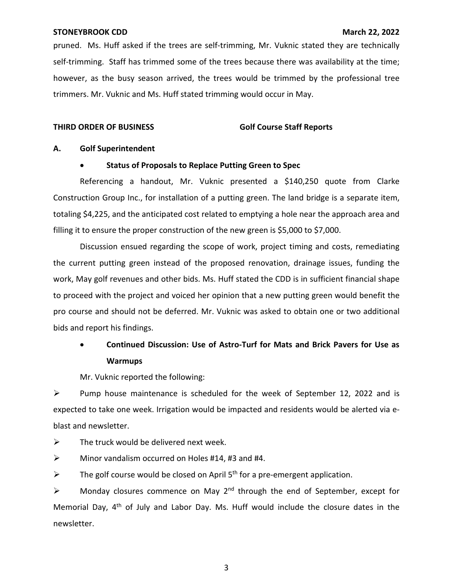pruned. Ms. Huff asked if the trees are self-trimming, Mr. Vuknic stated they are technically self-trimming. Staff has trimmed some of the trees because there was availability at the time; however, as the busy season arrived, the trees would be trimmed by the professional tree trimmers. Mr. Vuknic and Ms. Huff stated trimming would occur in May.

### **THIRD ORDER OF BUSINESS Golf Course Staff Reports**

### **A. Golf Superintendent**

### • **Status of Proposals to Replace Putting Green to Spec**

Referencing a handout, Mr. Vuknic presented a \$140,250 quote from Clarke Construction Group Inc., for installation of a putting green. The land bridge is a separate item, totaling \$4,225, and the anticipated cost related to emptying a hole near the approach area and filling it to ensure the proper construction of the new green is \$5,000 to \$7,000.

Discussion ensued regarding the scope of work, project timing and costs, remediating the current putting green instead of the proposed renovation, drainage issues, funding the work, May golf revenues and other bids. Ms. Huff stated the CDD is in sufficient financial shape to proceed with the project and voiced her opinion that a new putting green would benefit the pro course and should not be deferred. Mr. Vuknic was asked to obtain one or two additional bids and report his findings.

# • **Continued Discussion: Use of Astro-Turf for Mats and Brick Pavers for Use as Warmups**

Mr. Vuknic reported the following:

➢ Pump house maintenance is scheduled for the week of September 12, 2022 and is expected to take one week. Irrigation would be impacted and residents would be alerted via eblast and newsletter.

 $\triangleright$  The truck would be delivered next week.

 $\triangleright$  Minor vandalism occurred on Holes #14, #3 and #4.

 $\triangleright$  The golf course would be closed on April 5<sup>th</sup> for a pre-emergent application.

 $\triangleright$  Monday closures commence on May 2<sup>nd</sup> through the end of September, except for Memorial Day,  $4<sup>th</sup>$  of July and Labor Day. Ms. Huff would include the closure dates in the newsletter.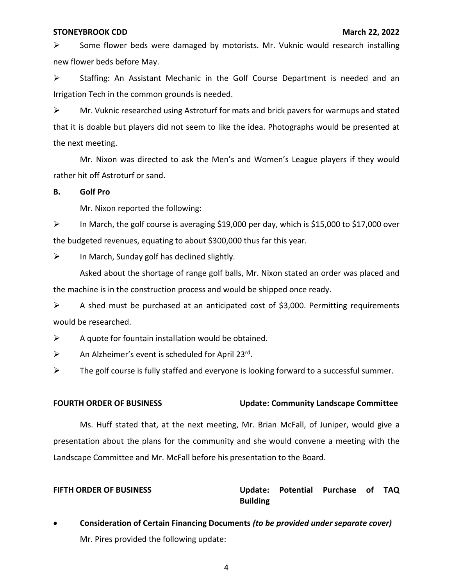$\triangleright$  Some flower beds were damaged by motorists. Mr. Vuknic would research installing new flower beds before May.

➢ Staffing: An Assistant Mechanic in the Golf Course Department is needed and an Irrigation Tech in the common grounds is needed.

 $\triangleright$  Mr. Vuknic researched using Astroturf for mats and brick pavers for warmups and stated that it is doable but players did not seem to like the idea. Photographs would be presented at the next meeting.

Mr. Nixon was directed to ask the Men's and Women's League players if they would rather hit off Astroturf or sand.

### **B. Golf Pro**

Mr. Nixon reported the following:

➢ In March, the golf course is averaging \$19,000 per day, which is \$15,000 to \$17,000 over the budgeted revenues, equating to about \$300,000 thus far this year.

 $\triangleright$  In March, Sunday golf has declined slightly.

Asked about the shortage of range golf balls, Mr. Nixon stated an order was placed and the machine is in the construction process and would be shipped once ready.

 $\triangleright$  A shed must be purchased at an anticipated cost of \$3,000. Permitting requirements would be researched.

 $\triangleright$  A quote for fountain installation would be obtained.

 $\triangleright$  An Alzheimer's event is scheduled for April 23<sup>rd</sup>.

➢ The golf course is fully staffed and everyone is looking forward to a successful summer.

### **FOURTH ORDER OF BUSINESS Update: Community Landscape Committee**

Ms. Huff stated that, at the next meeting, Mr. Brian McFall, of Juniper, would give a presentation about the plans for the community and she would convene a meeting with the Landscape Committee and Mr. McFall before his presentation to the Board.

## **FIFTH ORDER OF BUSINESS Update: Potential Purchase of TAQ Building**

 • **Consideration of Certain Financing Documents** *(to be provided under separate cover)*  Mr. Pires provided the following update: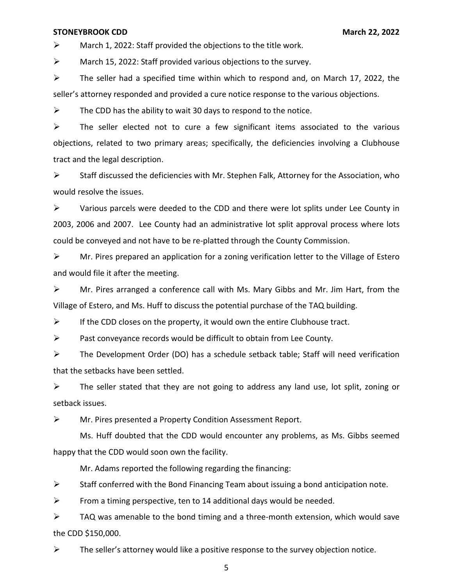$\triangleright$  March 1, 2022: Staff provided the objections to the title work.

➢ March 15, 2022: Staff provided various objections to the survey.

 $\triangleright$  The seller had a specified time within which to respond and, on March 17, 2022, the seller's attorney responded and provided a cure notice response to the various objections.

 $\triangleright$  The CDD has the ability to wait 30 days to respond to the notice.

 $\triangleright$  The seller elected not to cure a few significant items associated to the various objections, related to two primary areas; specifically, the deficiencies involving a Clubhouse tract and the legal description.

 $\triangleright$  Staff discussed the deficiencies with Mr. Stephen Falk, Attorney for the Association, who would resolve the issues.

 $\triangleright$  Various parcels were deeded to the CDD and there were lot splits under Lee County in 2003, 2006 and 2007. Lee County had an administrative lot split approval process where lots could be conveyed and not have to be re-platted through the County Commission.

 $\triangleright$  Mr. Pires prepared an application for a zoning verification letter to the Village of Estero and would file it after the meeting.

➢ Mr. Pires arranged a conference call with Ms. Mary Gibbs and Mr. Jim Hart, from the Village of Estero, and Ms. Huff to discuss the potential purchase of the TAQ building.

 $\triangleright$  If the CDD closes on the property, it would own the entire Clubhouse tract.

 $\triangleright$  Past conveyance records would be difficult to obtain from Lee County.

➢ The Development Order (DO) has a schedule setback table; Staff will need verification that the setbacks have been settled.

➢ The seller stated that they are not going to address any land use, lot split, zoning or setback issues.

➢ Mr. Pires presented a Property Condition Assessment Report.

Ms. Huff doubted that the CDD would encounter any problems, as Ms. Gibbs seemed happy that the CDD would soon own the facility.

Mr. Adams reported the following regarding the financing:

 $\triangleright$  Staff conferred with the Bond Financing Team about issuing a bond anticipation note.

 $\triangleright$  From a timing perspective, ten to 14 additional days would be needed.

 $\triangleright$  TAQ was amenable to the bond timing and a three-month extension, which would save the CDD \$150,000.

 $\triangleright$  The seller's attorney would like a positive response to the survey objection notice.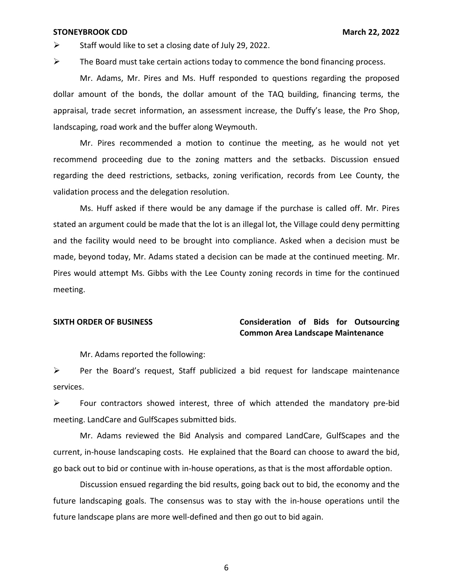$\triangleright$  Staff would like to set a closing date of July 29, 2022.

 $\triangleright$  The Board must take certain actions today to commence the bond financing process.

Mr. Adams, Mr. Pires and Ms. Huff responded to questions regarding the proposed dollar amount of the bonds, the dollar amount of the TAQ building, financing terms, the appraisal, trade secret information, an assessment increase, the Duffy's lease, the Pro Shop, landscaping, road work and the buffer along Weymouth.

Mr. Pires recommended a motion to continue the meeting, as he would not yet recommend proceeding due to the zoning matters and the setbacks. Discussion ensued regarding the deed restrictions, setbacks, zoning verification, records from Lee County, the validation process and the delegation resolution.

Ms. Huff asked if there would be any damage if the purchase is called off. Mr. Pires stated an argument could be made that the lot is an illegal lot, the Village could deny permitting and the facility would need to be brought into compliance. Asked when a decision must be made, beyond today, Mr. Adams stated a decision can be made at the continued meeting. Mr. Pires would attempt Ms. Gibbs with the Lee County zoning records in time for the continued meeting.

## **SIXTH ORDER OF BUSINESS Consideration of Bids for Outsourcing Common Area Landscape Maintenance**

Mr. Adams reported the following:

➢ Per the Board's request, Staff publicized a bid request for landscape maintenance services.

 $\triangleright$  Four contractors showed interest, three of which attended the mandatory pre-bid meeting. LandCare and GulfScapes submitted bids.

Mr. Adams reviewed the Bid Analysis and compared LandCare, GulfScapes and the current, in-house landscaping costs. He explained that the Board can choose to award the bid, go back out to bid or continue with in-house operations, as that is the most affordable option.

Discussion ensued regarding the bid results, going back out to bid, the economy and the future landscaping goals. The consensus was to stay with the in-house operations until the future landscape plans are more well-defined and then go out to bid again.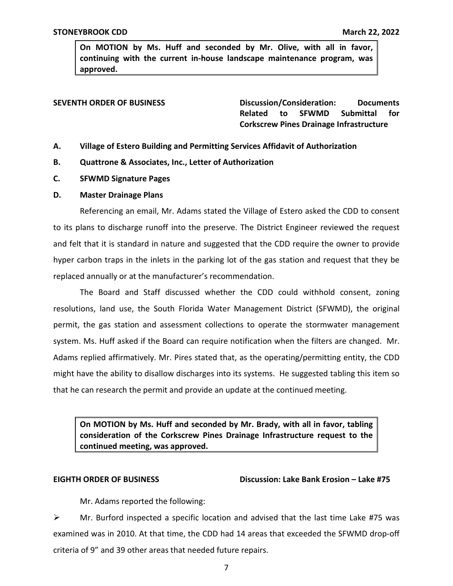**On MOTION by Ms. Huff and seconded by Mr. Olive, with all in favor, continuing with the current in-house landscape maintenance program, was approved.** 

**SEVENTH ORDER OF BUSINESS Discussion/Consideration: Documents Related to SFWMD Submittal for Corkscrew Pines Drainage Infrastructure** 

- **A. Village of Estero Building and Permitting Services Affidavit of Authorization**
- **B. Quattrone & Associates, Inc., Letter of Authorization**
- **C. SFWMD Signature Pages**
- **D. Master Drainage Plans**

Referencing an email, Mr. Adams stated the Village of Estero asked the CDD to consent to its plans to discharge runoff into the preserve. The District Engineer reviewed the request and felt that it is standard in nature and suggested that the CDD require the owner to provide hyper carbon traps in the inlets in the parking lot of the gas station and request that they be replaced annually or at the manufacturer's recommendation.

The Board and Staff discussed whether the CDD could withhold consent, zoning resolutions, land use, the South Florida Water Management District (SFWMD), the original permit, the gas station and assessment collections to operate the stormwater management system. Ms. Huff asked if the Board can require notification when the filters are changed. Mr. Adams replied affirmatively. Mr. Pires stated that, as the operating/permitting entity, the CDD might have the ability to disallow discharges into its systems. He suggested tabling this item so that he can research the permit and provide an update at the continued meeting.

**On MOTION by Ms. Huff and seconded by Mr. Brady, with all in favor, tabling consideration of the Corkscrew Pines Drainage Infrastructure request to the continued meeting, was approved.** 

### **EIGHTH ORDER OF BUSINESS**

**Discussion: Lake Bank Erosion – Lake #75** 

Mr. Adams reported the following:

 $\triangleright$  Mr. Burford inspected a specific location and advised that the last time Lake #75 was examined was in 2010. At that time, the CDD had 14 areas that exceeded the SFWMD drop-off criteria of 9" and 39 other areas that needed future repairs.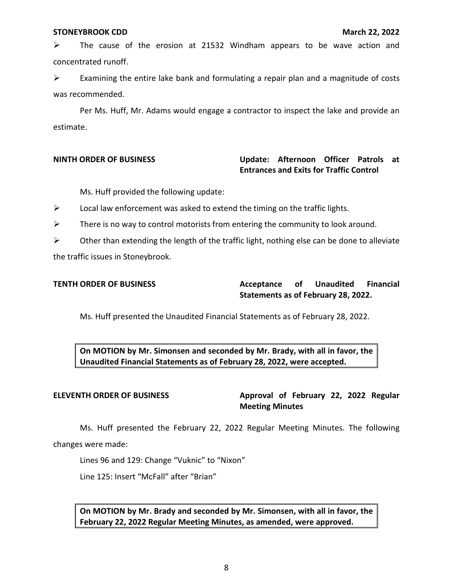$\triangleright$  The cause of the erosion at 21532 Windham appears to be wave action and concentrated runoff.

 $\triangleright$  Examining the entire lake bank and formulating a repair plan and a magnitude of costs was recommended.

Per Ms. Huff, Mr. Adams would engage a contractor to inspect the lake and provide an estimate.

## **NINTH ORDER OF BUSINESS** Update: Afternoon Officer Patrols at  **Entrances and Exits for Traffic Control**

Ms. Huff provided the following update:

 $\triangleright$  Local law enforcement was asked to extend the timing on the traffic lights.

 $\triangleright$  There is no way to control motorists from entering the community to look around.

 $\triangleright$  Other than extending the length of the traffic light, nothing else can be done to alleviate the traffic issues in Stoneybrook.

**TENTH ORDER OF BUSINESS Acceptance of Unaudited Financial Statements as of February 28, 2022.** 

Ms. Huff presented the Unaudited Financial Statements as of February 28, 2022.

 **On MOTION by Mr. Simonsen and seconded by Mr. Brady, with all in favor, the Unaudited Financial Statements as of February 28, 2022, were accepted.** 

ELEVENTH ORDER OF BUSINESS Approval of February 22, 2022 Regular **Meeting Minutes** 

Ms. Huff presented the February 22, 2022 Regular Meeting Minutes. The following changes were made:

Lines 96 and 129: Change "Vuknic" to "Nixon"

Line 125: Insert "McFall" after "Brian"

 **On MOTION by Mr. Brady and seconded by Mr. Simonsen, with all in favor, the February 22, 2022 Regular Meeting Minutes, as amended, were approved.**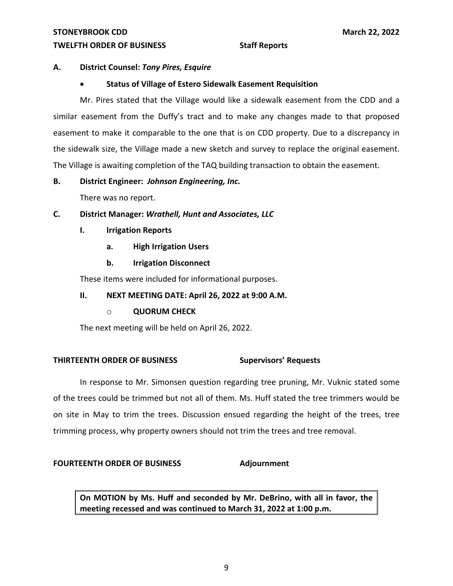### **TWELFTH ORDER OF BUSINESS Staff Reports**

## **A. District Counsel:** *Tony Pires, Esquire*

## • **Status of Village of Estero Sidewalk Easement Requisition**

Mr. Pires stated that the Village would like a sidewalk easement from the CDD and a similar easement from the Duffy's tract and to make any changes made to that proposed easement to make it comparable to the one that is on CDD property. Due to a discrepancy in the sidewalk size, the Village made a new sketch and survey to replace the original easement. The Village is awaiting completion of the TAQ building transaction to obtain the easement.

## **B. District Engineer:** *Johnson Engineering, Inc.*

There was no report.

## **C. District Manager:** *Wrathell, Hunt and Associates, LLC*

- **I. Irrigation Reports** 
	- **a. High Irrigation Users**
	- **b. Irrigation Disconnect**

These items were included for informational purposes.

## **II. NEXT MEETING DATE: April 26, 2022 at 9:00 A.M.**

## o **QUORUM CHECK**

The next meeting will be held on April 26, 2022.

## **THIRTEENTH ORDER OF BUSINESS Supervisors' Requests**

In response to Mr. Simonsen question regarding tree pruning, Mr. Vuknic stated some of the trees could be trimmed but not all of them. Ms. Huff stated the tree trimmers would be on site in May to trim the trees. Discussion ensued regarding the height of the trees, tree trimming process, why property owners should not trim the trees and tree removal.

## FOURTEENTH ORDER OF BUSINESS Adjournment

 **On MOTION by Ms. Huff and seconded by Mr. DeBrino, with all in favor, the meeting recessed and was continued to March 31, 2022 at 1:00 p.m.**